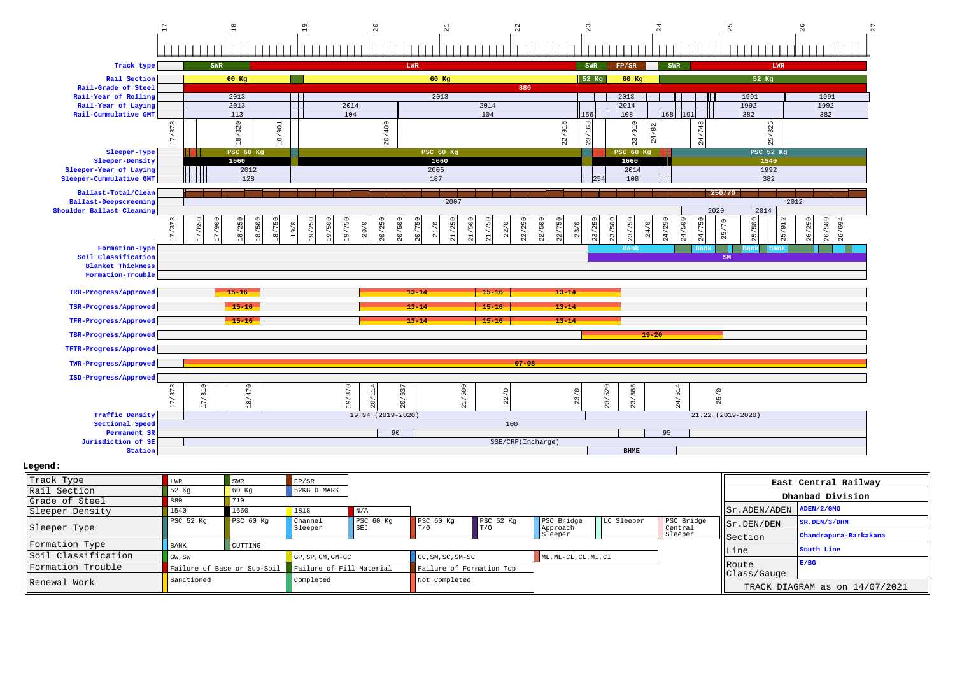

| Track Type          | LWR                              | SWR                         | FP/SR                           |                  |                          |                             |                        |            |                       |                                                                       | East Central Railway           |
|---------------------|----------------------------------|-----------------------------|---------------------------------|------------------|--------------------------|-----------------------------|------------------------|------------|-----------------------|-----------------------------------------------------------------------|--------------------------------|
| Rail Section        | 52 Kg                            | $\overline{60}$ Kq          | 52KG D MARK                     |                  |                          |                             |                        |            |                       |                                                                       | Dhanbad Division               |
| Grade of Steel      | 880                              | 710                         |                                 |                  |                          |                             |                        |            |                       |                                                                       |                                |
| Sleeper Density     | 1540                             | 1660                        | 1818                            | N/A              |                          |                             |                        |            |                       | $\sqrt{\text{ST ADEM}/\text{ADEN}}$ $\sqrt{\text{ADEN}/2/\text{GMO}}$ |                                |
| Sleeper Type        | PSC <sub>52</sub> K <sub>q</sub> | PSC 60 Kg                   | Channel<br>Sleeper              | PSC 60 Kg<br>SEJ | PSC 60 Kg<br>T/0         | PSC <sub>52</sub> Kq<br>T/0 | PSC Bridge<br>Approach | LC Sleeper | PSC Bridge<br>Central | $  $ Sr. DEN/DEN                                                      | SR.DEN/3/DHN                   |
|                     |                                  |                             |                                 |                  |                          |                             | Sleeper                |            | Sleeper               | Section                                                               | Chandrapura-Barkakana          |
| Formation Type      | <b>BANK</b>                      | CUTTING                     |                                 |                  |                          |                             |                        |            |                       |                                                                       | South Line                     |
| Soil Classification | $\Box$ GW, SW                    |                             | $\overline{GP}$ , SP, GM, GM-GC |                  | GC, SM, SC, SM-SC        |                             | ML, ML-CL, CL, MI, CI  |            |                       | <b>Line</b>                                                           |                                |
| lFormation Trouble  |                                  | Failure of Base or Sub-Soil | Failure of Fill Material        |                  | Failure of Formation Top |                             |                        |            |                       | <b>IRoute</b><br>Class/Gauge                                          | E/BG                           |
| Renewal Work        | Sanctioned                       |                             | Completed                       |                  | Not Completed            |                             |                        |            |                       |                                                                       | TRACK DIAGRAM as on 14/07/2021 |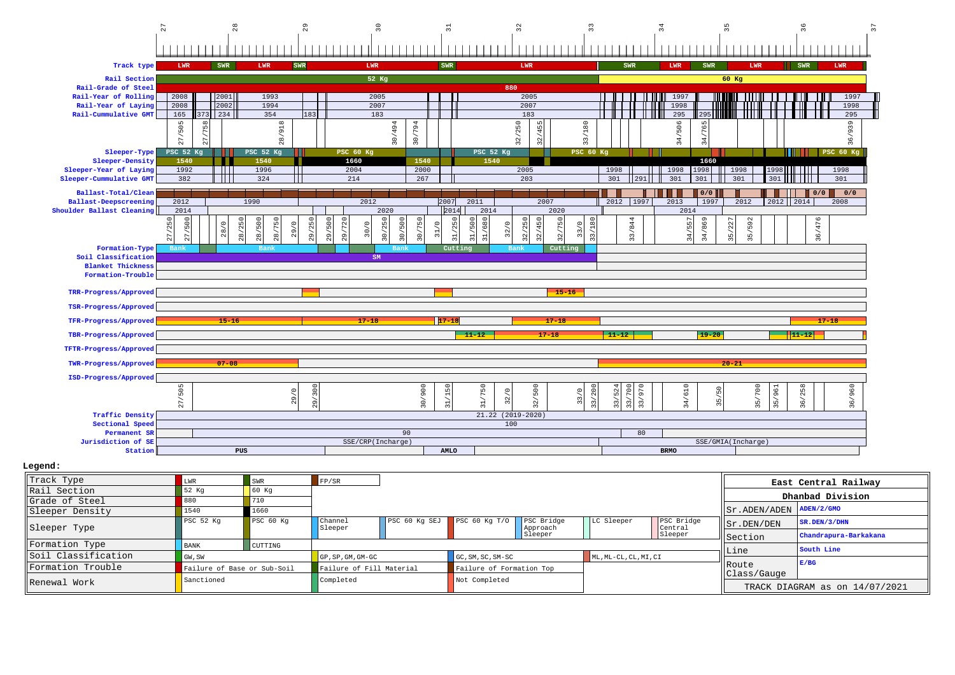

 **Legend:**

| Track Type          | LWR                         | <b>SWR</b> | FP/SR                    |                 |                          |                        |                       |                       |                                | East Central Railway  |
|---------------------|-----------------------------|------------|--------------------------|-----------------|--------------------------|------------------------|-----------------------|-----------------------|--------------------------------|-----------------------|
| Rail Section        | 52 Kg                       | 60 Kq      |                          |                 |                          |                        |                       |                       |                                | Dhanbad Division      |
| Grade of Steel      | 880                         | 710        |                          |                 |                          |                        |                       |                       |                                |                       |
| Sleeper Density     | 1540                        | 1660       |                          |                 |                          |                        |                       |                       | Sr.ADEN/ADEN                   | ADEN/2/GMO            |
| Sleeper Type        | PSC 52 Kg                   | PSC 60 Kg  | Channel<br>Sleeper       | $PSC$ 60 Kg SEJ | PSC 60 Kg $T/0$          | PSC Bridge<br>Approach | LC Sleeper            | PSC Bridge<br>Central | $  $ Sr. DEN/DEN               | SR.DEN/3/DHN          |
|                     |                             |            |                          |                 |                          | Sleeper                |                       | Sleeper               | <b>Section</b>                 | Chandrapura-Barkakana |
| Formation Type      | <b>BANK</b>                 | CUTTING    |                          |                 |                          |                        |                       |                       |                                | South Line            |
| Soil Classification | GW, SW                      |            | $GP, SP, GM, GM-GC$      |                 | GC, SM, SC, SM-SC        |                        | ML, ML-CL, CL, MI, CI |                       | Line                           |                       |
| Formation Trouble   | Failure of Base or Sub-Soil |            | Failure of Fill Material |                 | Failure of Formation Top |                        |                       |                       | <b>IRoute</b>                  | E/BG                  |
| Renewal Work        | Sanctioned                  |            | Completed                |                 | Not Completed            |                        |                       |                       | Class/Gauge                    |                       |
|                     |                             |            |                          |                 |                          |                        |                       |                       | TRACK DIAGRAM as on 14/07/2021 |                       |